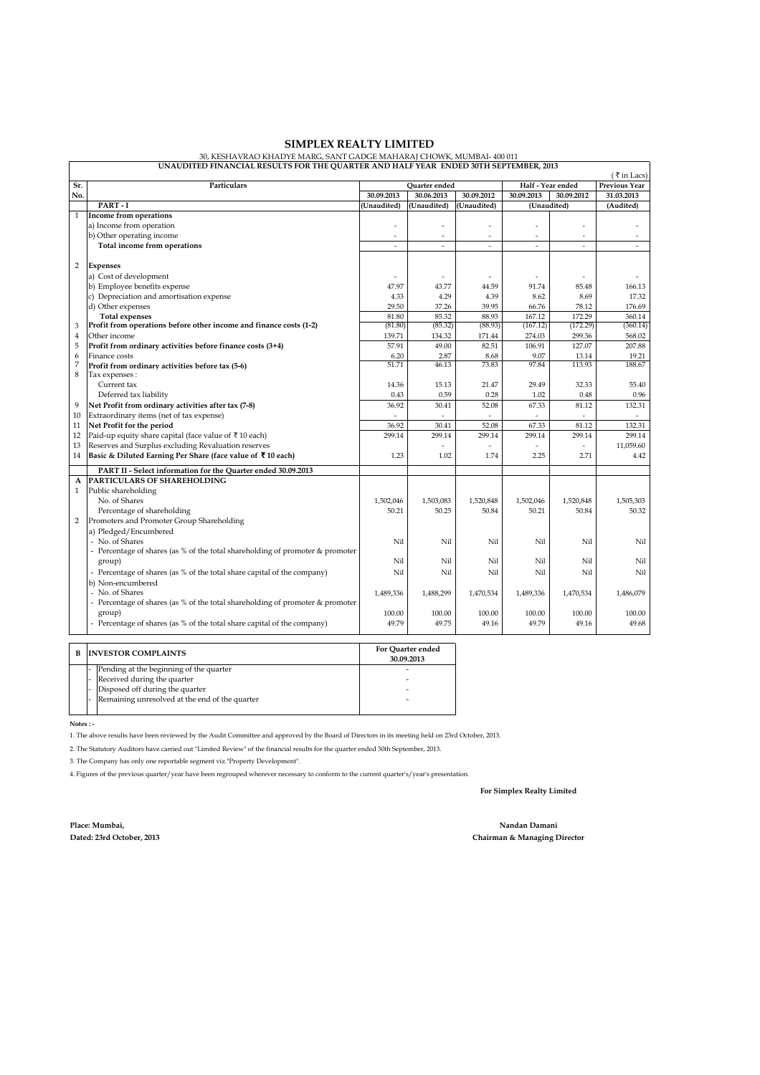## **SIMPLEX REALTY LIMITED**

 $\begin{array}{c}\n(\bar{\tau}\text{ in } \text{Lacs}) \\
\hline\n\text{Previous Year}\n\end{array}$ **Sr. Particulars Previous Year Quarter ended Half - Year ended No. 30.09.2013 30.06.2013 30.09.2012 30.09.2013 30.09.2012 31.03.2013 PART - I (Unaudited) (Unaudited) (Unaudited) (Audited)** 1 **Income from operations** a) Income from operation b) Other operating income Total income from operations 2 **Expenses**  a) Cost of development<br>b) Employee benefits expense the series of the series of the series of the series of the series of the series of the series of the series of the series of the series of the series of the series of t b) Employee benefits expense 43.77 43.77 43.77 44.59 91.74 85.48 166.13<br>
c) Depreciation and amortisation expense 43.3 4.29 4.33 4.29 4.439 8.62 8.69 17.32 c) Depreciation and amortisation expense d) Other expenses 37.26 39.95 37.26 39.95 37.26 39.95 37.26 39.95 37.26 39.95 37.26 39.95 37.26 39.95 37.26 39.95 37.26 39.95 37.26 39.95 37.26 39.95 37.26 39.95 37.26 39.95 37.26 39.95 37.26 37.26 37.26 37.26 37.26 37.26 **Total expenses** 85.32 88.93 167.12 172.29 360.14 3 (81.80) (85.32) (88.93) (167.12) (172.29) (360.14) **Profit from operations before other income and finance costs (1-2)** 4 Other income 139.71 134.32 171.44 274.03 299.36 568.02 5 **Profit from ordinary activities before finance costs (3+4)** 49.00 57.91 82.51 106.91 127.07 207.88 6 Finance costs 2.87 and 2.87 and 2.87 and 2.87 and 2.87 and 2.87 and 2.87 and 2.87 and 2.87 and 2.21 and 2.21 7 51.71 46.13 73.83 97.84 113.93 188.67 **Profit from ordinary activities before tax (5-6)** 8 Tax expenses : Current tax 155.40 15.13 14.36 15.13 14.36 21.47 29.49 29.49 32.33 0.43 0.59 0.28 1.02 0.48 0.96 0.48 0.59 0.43 0.59 0.28 1.02 0.48 0.59 0.48 0.59 0.48 0.59 0.48 0.59 0.48 0.59 0.48 0.59 0.48 0.59 0.48 0.59 0.48 0.59 0.48 0.59 0.48 0.59 0.48 0.59 0.48 0.59 0.48 0.59 0.48 0.59 0.48 0.59 0. 9 **Net Profit from ordinary activities after tax (7-8)**<br>10 Extraordinary items (net of tax expense) 10 Extraordinary items (net of tax expense)<br>
11 Net Profit for the period<br>
11 Net Profit for the period Net Profit for the period 12 Paid-up equity share capital (face value of  $\bar{x}$  10 each) 299.14 299.14 299.14 299.14 299.14 299.14 299.14 299.14 299.14 299.14 299.14 299.14 299.14 299.14 299.14 299.14 299.14 299.14 299.14 299.14 299.14 299.14 299. 14 **Basic & Diluted Earning Per Share (face value of** ` **10 each)** 1.02 1.23 1.74 2.25 2.71 4.42 **PART II - Select information for the Quarter ended 30.09.2013 A PARTICULARS OF SHAREHOLDING** 1 Public shareholding<br>No. of Shares No. of Shares 20 1,503,083 1,503,083 1,503,083 1,503,083 1,502,046 1,520,848 1,520,848 1,505,303 Percentage of shareholding 50.21 50.22 50.84 50.22 50.84 50.32 2 Promoters and Promoter Group Shareholding a) Pledged/Encumbered - No. of Shares Nil Nil Nil Nil Nil Nil Percentage of shares (as % of the total shareholding of promoter & promoter group) Nil Nil Nil Nil Nil Nil Percentage of shares (as % of the total share capital of the company)  $Nil$  Nil Nil Nil Nil Nil Nil Nil Nil Nil b) Non-encumbered<br>- No. of Shares - No. of Shares 1,488,299 | 1,488,299 | 1,488,299 | 1,488,2936 | 1,470,534 | 1,470,534 | 1,470,534 | 1,486,079 Percentage of shares (as % of the total shareholding of promoter & promoter group) 100.00 100.00 100.00 100.00 100.00 100.00 100.00 100.00 100.00 100.00 100.00 100.00 100.00 100.00 100.00 Percentage of shares (as % of the total share capital of the company)  $49.79 \qquad 49.75 \qquad 49.16 \qquad 49.68$ **(Unaudited)**

30, KESHAVRAO KHADYE MARG, SANT GADGE MAHARAJ CHOWK, MUMBAI- 400 011 **UNAUDITED FINANCIAL RESULTS FOR THE QUARTER AND HALF YEAR ENDED 30TH SEPTEMBER, 2013**

**B INVESTOR COMPLAINTS** Pending at the beginning of the quarter Received during the quarter Disposed off during the quarter Remaining unresolved at the end of the quarter  **For Quarter ended 30.09.2013**  - - - -

 **Notes : -**

1. The above results have been reviewed by the Audit Committee and approved by the Board of Directors in its meeting held on 23rd October, 2013.

2. The Statutory Auditors have carried out "Limited Review" of the financial results for the quarter ended 30th September, 2013.

3. The Company has only one reportable segment viz."Property Development".

4. Figures of the previous quarter/year have been regrouped wherever necessary to conform to the current quarter's/year's presentation.

**For Simplex Realty Limited**

**Place: Mumbai, Dated: 23rd October, 2013**

**Nandan Damani Chairman & Managing Director**